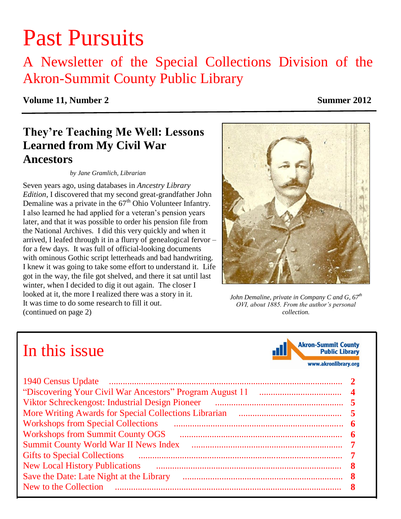# Past Pursuits

## A Newsletter of the Special Collections Division of the Akron-Summit County Public Library

### **Volume 11, Number 2** Summer 2012

### **They're Teaching Me Well: Lessons Learned from My Civil War Ancestors**

#### *by Jane Gramlich, Librarian*

Seven years ago, using databases in *Ancestry Library Edition*, I discovered that my second great-grandfather John Demaline was a private in the  $67<sup>th</sup>$  Ohio Volunteer Infantry. I also learned he had applied for a veteran's pension years later, and that it was possible to order his pension file from the National Archives. I did this very quickly and when it arrived, I leafed through it in a flurry of genealogical fervor – for a few days. It was full of official-looking documents with ominous Gothic script letterheads and bad handwriting. I knew it was going to take some effort to understand it. Life got in the way, the file got shelved, and there it sat until last winter, when I decided to dig it out again. The closer I looked at it, the more I realized there was a story in it. It was time to do some research to fill it out. (continued on page 2)

*John Demaline, private in Company C and G, 67th OVI, about 1885. From the author's personal collection.*

## In this issue

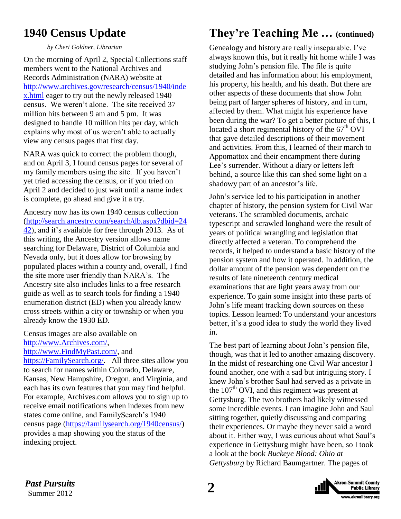### <span id="page-1-0"></span>**1940 Census Update**

*by Cheri Goldner, Librarian*

On the morning of April 2, Special Collections staff members went to the National Archives and Records Administration (NARA) website at [http://www.archives.gov/research/census/1940/inde](http://www.archives.gov/research/census/1940/index.html) [x.html](http://www.archives.gov/research/census/1940/index.html) eager to try out the newly released 1940 census. We weren't alone. The site received 37 million hits between 9 am and 5 pm. It was designed to handle 10 million hits per day, which explains why most of us weren't able to actually view any census pages that first day.

NARA was quick to correct the problem though, and on April 3, I found census pages for several of my family members using the site. If you haven't yet tried accessing the census, or if you tried on April 2 and decided to just wait until a name index is complete, go ahead and give it a try.

Ancestry now has its own 1940 census collection [\(http://search.ancestry.com/search/db.aspx?dbid=24](http://search.ancestry.com/search/db.aspx?dbid=2442) [42\)](http://search.ancestry.com/search/db.aspx?dbid=2442), and it's available for free through 2013. As of this writing, the Ancestry version allows name searching for Delaware, District of Columbia and Nevada only, but it does allow for browsing by populated places within a county and, overall, I find the site more user friendly than NARA's. The Ancestry site also includes links to a free research guide as well as to search tools for finding a 1940 enumeration district (ED) when you already know cross streets within a city or township or when you already know the 1930 ED.

Census images are also available on [http://www.Archives.com/,](http://www.archives.com/)

[http://www.FindMyPast.com/,](http://www.findmypast.com/) and

[https://FamilySearch.org/.](https://familysearch.org/) All three sites allow you to search for names within Colorado, Delaware, Kansas, New Hampshire, Oregon, and Virginia, and each has its own features that you may find helpful. For example, Archives.com allows you to sign up to receive email notifications when indexes from new states come online, and FamilySearch's 1940 census page [\(https://familysearch.org/1940census/\)](https://familysearch.org/1940census/) provides a map showing you the status of the indexing project.

### **They're Teaching Me … (continued)**

Genealogy and history are really inseparable. I've always known this, but it really hit home while I was studying John's pension file. The file is quite detailed and has information about his employment, his property, his health, and his death. But there are other aspects of these documents that show John being part of larger spheres of history, and in turn, affected by them. What might his experience have been during the war? To get a better picture of this, I located a short regimental history of the  $67<sup>th</sup>$  OVI that gave detailed descriptions of their movement and activities. From this, I learned of their march to Appomattox and their encampment there during Lee's surrender. Without a diary or letters left behind, a source like this can shed some light on a shadowy part of an ancestor's life.

John's service led to his participation in another chapter of history, the pension system for Civil War veterans. The scrambled documents, archaic typescript and scrawled longhand were the result of years of political wrangling and legislation that directly affected a veteran. To comprehend the records, it helped to understand a basic history of the pension system and how it operated. In addition, the dollar amount of the pension was dependent on the results of late nineteenth century medical examinations that are light years away from our experience. To gain some insight into these parts of John's life meant tracking down sources on these topics. Lesson learned: To understand your ancestors better, it's a good idea to study the world they lived in.

The best part of learning about John's pension file, though, was that it led to another amazing discovery. In the midst of researching one Civil War ancestor I found another, one with a sad but intriguing story. I knew John's brother Saul had served as a private in the  $107<sup>th</sup>$  OVI, and this regiment was present at Gettysburg. The two brothers had likely witnessed some incredible events. I can imagine John and Saul sitting together, quietly discussing and comparing their experiences. Or maybe they never said a word about it. Either way, I was curious about what Saul's experience in Gettysburg might have been, so I took a look at the book *Buckeye Blood: Ohio at Gettysburg* by Richard Baumgartner. The pages of

*Past Pursuits* 2<br>
Summer 2012 Summer 2012

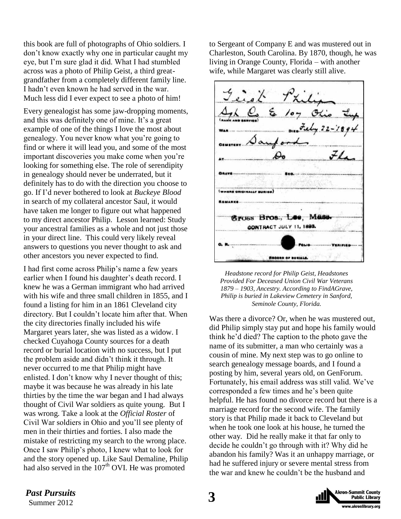this book are full of photographs of Ohio soldiers. I don't know exactly why one in particular caught my eye, but I'm sure glad it did. What I had stumbled across was a photo of Philip Geist, a third greatgrandfather from a completely different family line. I hadn't even known he had served in the war. Much less did I ever expect to see a photo of him!

Every genealogist has some jaw-dropping moments, and this was definitely one of mine. It's a great example of one of the things I love the most about genealogy. You never know what you're going to find or where it will lead you, and some of the most important discoveries you make come when you're looking for something else. The role of serendipity in genealogy should never be underrated, but it definitely has to do with the direction you choose to go. If I'd never bothered to look at *Buckeye Blood* in search of my collateral ancestor Saul, it would have taken me longer to figure out what happened to my direct ancestor Philip. Lesson learned: Study your ancestral families as a whole and not just those in your direct line. This could very likely reveal answers to questions you never thought to ask and other ancestors you never expected to find.

I had first come across Philip's name a few years earlier when I found his daughter's death record. I knew he was a German immigrant who had arrived with his wife and three small children in 1855, and I found a listing for him in an 1861 Cleveland city directory. But I couldn't locate him after that. When the city directories finally included his wife Margaret years later, she was listed as a widow. I checked Cuyahoga County sources for a death record or burial location with no success, but I put the problem aside and didn't think it through. It never occurred to me that Philip might have enlisted. I don't know why I never thought of this; maybe it was because he was already in his late thirties by the time the war began and I had always thought of Civil War soldiers as quite young. But I was wrong. Take a look at the *Official Roster* of Civil War soldiers in Ohio and you'll see plenty of men in their thirties and forties. I also made the mistake of restricting my search to the wrong place. Once I saw Philip's photo, I knew what to look for and the story opened up. Like Saul Demaline, Philip had also served in the  $107<sup>th</sup>$  OVI. He was promoted

to Sergeant of Company E and was mustered out in Charleston, South Carolina. By 1870, though, he was living in Orange County, Florida – with another wife, while Margaret was clearly still alive.



*Headstone record for Philip Geist, Headstones Provided For Deceased Union Civil War Veterans 1879 – 1903, Ancestry. According to FindAGrave, Philip is buried in Lakeview Cemetery in Sanford, Seminole County, Florida.*

Was there a divorce? Or, when he was mustered out, did Philip simply stay put and hope his family would think he'd died? The caption to the photo gave the name of its submitter, a man who certainly was a cousin of mine. My next step was to go online to search genealogy message boards, and I found a posting by him, several years old, on GenForum. Fortunately, his email address was still valid. We've corresponded a few times and he's been quite helpful. He has found no divorce record but there is a marriage record for the second wife. The family story is that Philip made it back to Cleveland but when he took one look at his house, he turned the other way. Did he really make it that far only to decide he couldn't go through with it? Why did he abandon his family? Was it an unhappy marriage, or had he suffered injury or severe mental stress from the war and knew he couldn't be the husband and

Past Pursuits **3**<br>
Summer 2012 *Past Pursuits*

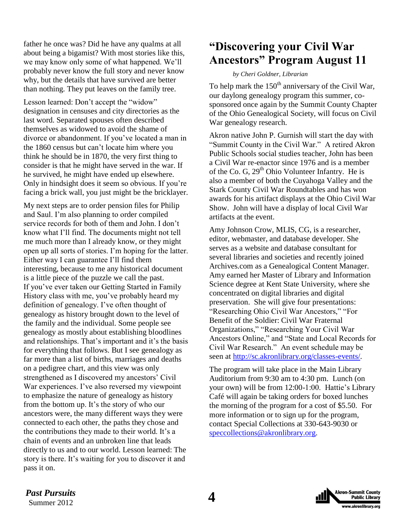<span id="page-3-0"></span>father he once was? Did he have any qualms at all about being a bigamist? With most stories like this, we may know only some of what happened. We'll probably never know the full story and never know why, but the details that have survived are better than nothing. They put leaves on the family tree.

Lesson learned: Don't accept the "widow" designation in censuses and city directories as the last word. Separated spouses often described themselves as widowed to avoid the shame of divorce or abandonment. If you've located a man in the 1860 census but can't locate him where you think he should be in 1870, the very first thing to consider is that he might have served in the war. If he survived, he might have ended up elsewhere. Only in hindsight does it seem so obvious. If you're facing a brick wall, you just might be the bricklayer.

My next steps are to order pension files for Philip and Saul. I'm also planning to order compiled service records for both of them and John. I don't know what I'll find. The documents might not tell me much more than I already know, or they might open up all sorts of stories. I'm hoping for the latter. Either way I can guarantee I'll find them interesting, because to me any historical document is a little piece of the puzzle we call the past. If you've ever taken our Getting Started in Family History class with me, you've probably heard my definition of genealogy. I've often thought of genealogy as history brought down to the level of the family and the individual. Some people see genealogy as mostly about establishing bloodlines and relationships. That's important and it's the basis for everything that follows. But I see genealogy as far more than a list of births, marriages and deaths on a pedigree chart, and this view was only strengthened as I discovered my ancestors' Civil War experiences. I've also reversed my viewpoint to emphasize the nature of genealogy as history from the bottom up. It's the story of who our ancestors were, the many different ways they were connected to each other, the paths they chose and the contributions they made to their world. It's a chain of events and an unbroken line that leads directly to us and to our world. Lesson learned: The story is there. It's waiting for you to discover it and pass it on.

### **"Discovering your Civil War Ancestors" Program August 11**

#### *by Cheri Goldner, Librarian*

To help mark the  $150<sup>th</sup>$  anniversary of the Civil War, our daylong genealogy program this summer, cosponsored once again by the Summit County Chapter of the Ohio Genealogical Society, will focus on Civil War genealogy research.

Akron native John P. Gurnish will start the day with "Summit County in the Civil War." A retired Akron Public Schools social studies teacher, John has been a Civil War re-enactor since 1976 and is a member of the Co. G,  $29<sup>th</sup>$  Ohio Volunteer Infantry. He is also a member of both the Cuyahoga Valley and the Stark County Civil War Roundtables and has won awards for his artifact displays at the Ohio Civil War Show. John will have a display of local Civil War artifacts at the event.

[Amy Johnson Crow,](http://www.amyjohnsoncrow.com/) MLIS, CG, is a researcher, editor, webmaster, and database developer. She serves as a website and database consultant for several libraries and societies and recently joined [Archives.com](http://www.archives.com/) as a Genealogical Content Manager. Amy earned her Master of Library and Information Science degree at Kent State University, where she concentrated on digital libraries and digital preservation. She will give four presentations: "Researching Ohio Civil War Ancestors," "For Benefit of the Soldier: Civil War Fraternal Organizations," "Researching Your Civil War Ancestors Online," and "State and Local Records for Civil War Research." An event schedule may be seen at [http://sc.akronlibrary.org/classes-events/.](http://sc.akronlibrary.org/classes-events/)

The program will take place in the Main Library Auditorium from 9:30 am to 4:30 pm. Lunch (on your own) will be from 12:00-1:00. Hattie's Library Café will again be taking orders for boxed lunches the morning of the program for a cost of \$5.50. For more information or to sign up for the program, contact Special Collections at 330-643-9030 or [speccollections@akronlibrary.org.](mailto:speccollections@akronlibrary.org)

Past Pursuits 4<br>
Summer 2012 *Past Pursuits*

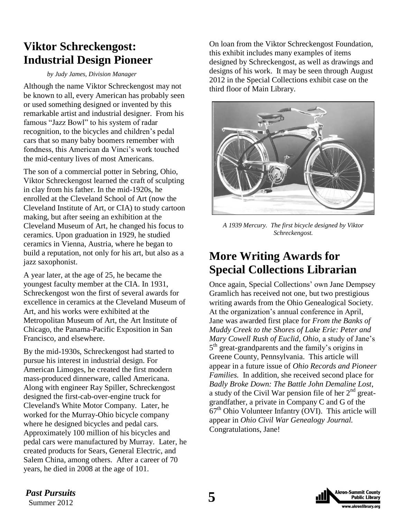### <span id="page-4-0"></span>**Viktor Schreckengost: Industrial Design Pioneer**

#### *by Judy James, Division Manager*

Although the name Viktor Schreckengost may not be known to all, every American has probably seen or used something designed or invented by this remarkable artist and industrial designer. From his famous "Jazz Bowl" to his system of radar recognition, to the bicycles and children's pedal cars that so many baby boomers remember with fondness, this American da Vinci's work touched the mid-century lives of most Americans.

The son of a commercial potter in Sebring, Ohio, Viktor Schreckengost learned the craft of sculpting in clay from his father. In the mid-1920s, he enrolled at the Cleveland School of Art (now the Cleveland Institute of Art, or CIA) to study cartoon making, but after seeing an exhibition at the Cleveland Museum of Art, he changed his focus to ceramics. Upon graduation in 1929, he studied ceramics in Vienna, Austria, where he began to build a reputation, not only for his art, but also as a jazz saxophonist.

A year later, at the age of 25, he became the youngest faculty member at the CIA. In 1931, Schreckengost won the first of several awards for excellence in ceramics at the Cleveland Museum of Art, and his works were exhibited at the Metropolitan Museum of Art, the Art Institute of Chicago, the Panama-Pacific Exposition in San Francisco, and elsewhere.

By the mid-1930s, Schreckengost had started to pursue his interest in industrial design. For American Limoges, he created the first modern mass-produced dinnerware, called Americana. Along with engineer Ray Spiller, Schreckengost designed the first-cab-over-engine truck for Cleveland's White Motor Company. Later, he worked for the Murray-Ohio bicycle company where he designed bicycles and pedal cars. Approximately 100 million of his bicycles and pedal cars were manufactured by Murray. Later, he created products for Sears, General Electric, and Salem China, among others. After a career of 70 years, he died in 2008 at the age of 101.

On loan from the Viktor Schreckengost Foundation, this exhibit includes many examples of items designed by Schreckengost, as well as drawings and designs of his work. It may be seen through August 2012 in the Special Collections exhibit case on the third floor of Main Library.



*A 1939 Mercury. The first bicycle designed by Viktor Schreckengost.*

### **More Writing Awards for Special Collections Librarian**

Once again, Special Collections' own Jane Dempsey Gramlich has received not one, but two prestigious writing awards from the Ohio Genealogical Society. At the organization's annual conference in April, Jane was awarded first place for *From the Banks of Muddy Creek to the Shores of Lake Erie: Peter and Mary Cowell Rush of Euclid, Ohio,* a study of Jane's 5<sup>th</sup> great-grandparents and the family's origins in Greene County, Pennsylvania. This article will appear in a future issue of *Ohio Records and Pioneer Families.* In addition, she received second place for *Badly Broke Down: The Battle John Demaline Lost*, a study of the Civil War pension file of her  $2<sup>nd</sup>$  greatgrandfather, a private in Company C and G of the  $67<sup>th</sup>$  Ohio Volunteer Infantry (OVI). This article will appear in *Ohio Civil War Genealogy Journal.*  Congratulations, Jane!



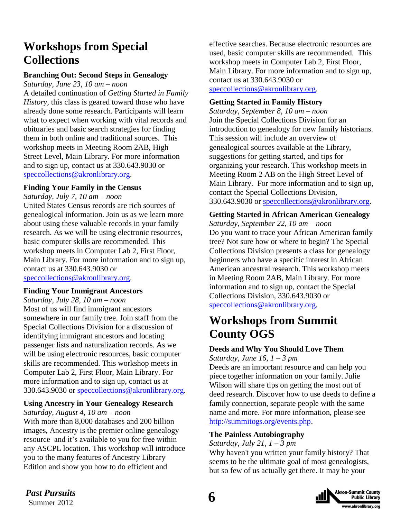### <span id="page-5-0"></span>**Workshops from Special Collections**

### **Branching Out: Second Steps in Genealogy**

*Saturday, June 23, 10 am – noon*  A detailed continuation of *Getting Started in Family History,* this class is geared toward those who have already done some research. Participants will learn what to expect when working with vital records and obituaries and basic search strategies for finding them in both online and traditional sources. This workshop meets in Meeting Room 2AB, High Street Level, Main Library. For more information and to sign up, contact us at 330.643.9030 or [speccollections@akronlibrary.org.](mailto:speccollections@akronlibrary.org)

#### **Finding Your Family in the Census**

*Saturday, July 7, 10 am – noon* 

United States Census records are rich sources of genealogical information. Join us as we learn more about using these valuable records in your family research. As we will be using electronic resources, basic computer skills are recommended. This workshop meets in Computer Lab 2, First Floor, Main Library. For more information and to sign up, contact us at 330.643.9030 or [speccollections@akronlibrary.org.](mailto:speccollections@akronlibrary.org)

#### **Finding Your Immigrant Ancestors**

*Saturday, July 28, 10 am – noon*  Most of us will find immigrant ancestors somewhere in our family tree. Join staff from the Special Collections Division for a discussion of identifying immigrant ancestors and locating passenger lists and naturalization records. As we will be using electronic resources, basic computer skills are recommended. This workshop meets in Computer Lab 2, First Floor, Main Library. For more information and to sign up, contact us at 330.643.9030 or [speccollections@akronlibrary.org.](mailto:speccollections@akronlibrary.org)

### **Using Ancestry in Your Genealogy Research**

*Saturday, August 4, 10 am – noon* 

With more than 8,000 databases and 200 billion images, Ancestry is the premier online genealogy resource–and it's available to you for free within any ASCPL location. This workshop will introduce you to the many features of Ancestry Library Edition and show you how to do efficient and

effective searches. Because electronic resources are used, basic computer skills are recommended. This workshop meets in Computer Lab 2, First Floor, Main Library. For more information and to sign up, contact us at 330.643.9030 or [speccollections@akronlibrary.org.](mailto:speccollections@akronlibrary.org)

#### **Getting Started in Family History**

*Saturday, September 8, 10 am – noon*  Join the Special Collections Division for an introduction to genealogy for new family historians. This session will include an overview of genealogical sources available at the Library, suggestions for getting started, and tips for organizing your research. This workshop meets in Meeting Room 2 AB on the High Street Level of Main Library. For more information and to sign up, contact the Special Collections Division, 330.643.9030 or [speccollections@akronlibrary.org.](mailto:speccollections@akronlibrary.org)

### **Getting Started in African American Genealogy**

*Saturday, September 22, 10 am – noon*  Do you want to trace your African American family tree? Not sure how or where to begin? The Special Collections Division presents a class for genealogy beginners who have a specific interest in African American ancestral research. This workshop meets in Meeting Room 2AB, Main Library. For more information and to sign up, contact the Special Collections Division, 330.643.9030 or speccollections@akronlibrary.org.

### **Workshops from Summit County OGS**

#### **Deeds and Why You Should Love Them**

*Saturday, June 16, 1 – 3 pm*

Deeds are an important resource and can help you piece together information on your family. Julie Wilson will share tips on getting the most out of deed research. Discover how to use deeds to define a family connection, separate people with the same name and more. For more information, please see [http://summitogs.org/events.php.](http://summitogs.org/events.php)

#### **The Painless Autobiography**

*Saturday, July 21, 1 – 3 pm*

Why haven't you written your family history? That seems to be the ultimate goal of most genealogists, but so few of us actually get there. It may be your

> **Akron-Summit County Public Library** ww.akronlibrary.org

*Past Pursuits* 6<br>
Summer 2012 *Past Pursuits*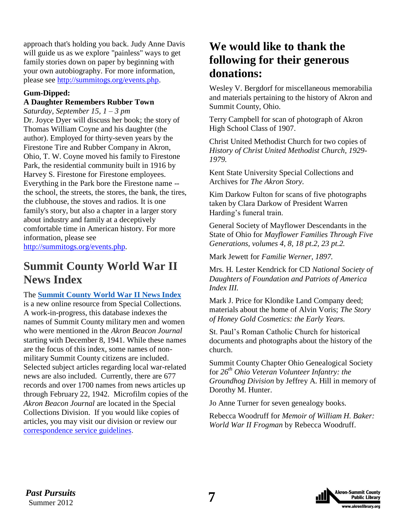<span id="page-6-0"></span>approach that's holding you back. Judy Anne Davis will guide us as we explore "painless" ways to get family stories down on paper by beginning with your own autobiography. For more information, please see [http://summitogs.org/events.php.](http://summitogs.org/events.php)

### **Gum-Dipped:**

#### **A Daughter Remembers Rubber Town**

*Saturday, September 15, 1 – 3 pm*

Dr. Joyce Dyer will discuss her book; the story of Thomas William Coyne and his daughter (the author). Employed for thirty-seven years by the Firestone Tire and Rubber Company in Akron, Ohio, T. W. Coyne moved his family to Firestone Park, the residential community built in 1916 by Harvey S. Firestone for Firestone employees. Everything in the Park bore the Firestone name - the school, the streets, the stores, the bank, the tires, the clubhouse, the stoves and radios. It is one family's story, but also a chapter in a larger story about industry and family at a deceptively comfortable time in American history. For more information, please see [http://summitogs.org/events.php.](http://summitogs.org/events.php)

### **Summit County World War II News Index**

The **[Summit County World War II News Index](http://www.akronlibrary.org/dbs/WW2/)** is a new online resource from Special Collections. A work-in-progress, this database indexes the names of Summit County military men and women who were mentioned in the *Akron Beacon Journal* starting with December 8, 1941. While these names are the focus of this index, some names of nonmilitary Summit County citizens are included. Selected subject articles regarding local war-related news are also included. Currently, there are 677 records and over 1700 names from news articles up through February 22, 1942. Microfilm copies of the *Akron Beacon Journal* are located in the Special Collections Division. If you would like copies of articles, you may visit our division or review our [correspondence service guidelines.](http://sc.akronlibrary.org/correspondence-service/)

### **We would like to thank the following for their generous donations:**

Wesley V. Bergdorf for miscellaneous memorabilia and materials pertaining to the history of Akron and Summit County, Ohio.

Terry Campbell for scan of photograph of Akron High School Class of 1907.

Christ United Methodist Church for two copies of *History of Christ United Methodist Church, 1929- 1979.*

Kent State University Special Collections and Archives for *The Akron Story.*

Kim Darkow Fulton for scans of five photographs taken by Clara Darkow of President Warren Harding's funeral train.

General Society of Mayflower Descendants in the State of Ohio for *Mayflower Families Through Five Generations, volumes 4, 8, 18 pt.2, 23 pt.2.*

Mark Jewett for *Familie Werner, 1897.*

Mrs. H. Lester Kendrick for CD *National Society of Daughters of Foundation and Patriots of America Index III.*

Mark J. Price for Klondike Land Company deed; materials about the home of Alvin Voris; *The Story of Honey Gold Cosmetics: the Early Years.*

St. Paul's Roman Catholic Church for historical documents and photographs about the history of the church.

Summit County Chapter Ohio Genealogical Society for *26th Ohio Veteran Volunteer Infantry: the Groundhog Division* by Jeffrey A. Hill in memory of Dorothy M. Hunter.

Jo Anne Turner for seven genealogy books.

Rebecca Woodruff for *Memoir of William H. Baker: World War II Frogman* by Rebecca Woodruff.



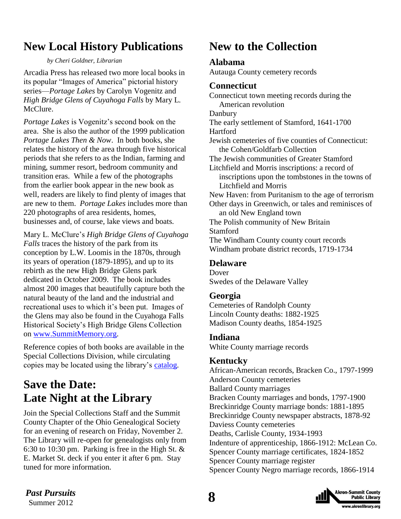### <span id="page-7-0"></span>**New Local History Publications**

*by Cheri Goldner, Librarian*

Arcadia Press has released two more local books in its popular "Images of America" pictorial history series—*Portage Lakes* by Carolyn Vogenitz and *High Bridge Glens of Cuyahoga Falls* by Mary L. McClure.

*Portage Lakes* is Vogenitz's second book on the area. She is also the author of the 1999 publication *Portage Lakes Then & Now*. In both books, she relates the history of the area through five historical periods that she refers to as the Indian, farming and mining, summer resort, bedroom community and transition eras. While a few of the photographs from the earlier book appear in the new book as well, readers are likely to find plenty of images that are new to them. *Portage Lakes* includes more than 220 photographs of area residents, homes, businesses and, of course, lake views and boats.

Mary L. McClure's *High Bridge Glens of Cuyahoga Falls* traces the history of the park from its conception by L.W. Loomis in the 1870s, through its years of operation (1879-1895), and up to its rebirth as the new High Bridge Glens park dedicated in October 2009. The book includes almost 200 images that beautifully capture both the natural beauty of the land and the industrial and recreational uses to which it's been put. Images of the Glens may also be found in the Cuyahoga Falls Historical Society's High Bridge Glens Collection on [www.SummitMemory.org.](http://www.summitmemory.org/)

Reference copies of both books are available in the Special Collections Division, while circulating copies may be located using the library's [catalog.](http://catalog.akronlibrary.org/)

### **Save the Date: Late Night at the Library**

Join the Special Collections Staff and the Summit County Chapter of the Ohio Genealogical Society for an evening of research on Friday, November 2. The Library will re-open for genealogists only from 6:30 to 10:30 pm. Parking is free in the High St. & E. Market St. deck if you enter it after 6 pm. Stay tuned for more information.

### **New to the Collection**

### **Alabama**

Autauga County cemetery records

### **Connecticut**

Connecticut town meeting records during the American revolution Danbury The early settlement of Stamford, 1641-1700 **Hartford** Jewish cemeteries of five counties of Connecticut: the Cohen/Goldfarb Collection The Jewish communities of Greater Stamford Litchfield and Morris inscriptions: a record of inscriptions upon the tombstones in the towns of Litchfield and Morris New Haven: from Puritanism to the age of terrorism Other days in Greenwich, or tales and reminisces of an old New England town The Polish community of New Britain Stamford The Windham County county court records Windham probate district records, 1719-1734

### **Delaware**

Dover Swedes of the Delaware Valley

### **Georgia**

Cemeteries of Randolph County Lincoln County deaths: 1882-1925 Madison County deaths, 1854-1925

### **Indiana**

White County marriage records

### **Kentucky**

African-American records, Bracken Co., 1797-1999 Anderson County cemeteries Ballard County marriages Bracken County marriages and bonds, 1797-1900 Breckinridge County marriage bonds: 1881-1895 Breckinridge County newspaper abstracts, 1878-92 Daviess County cemeteries Deaths, Carlisle County, 1934-1993 Indenture of apprenticeship, 1866-1912: McLean Co. Spencer County marriage certificates, 1824-1852 Spencer County marriage register Spencer County Negro marriage records, 1866-1914

> **Akron-Summit County Public Library** ww.akronlibrary.org

**Past Pursuits**<br>
Summer 2012 *Past Pursuits*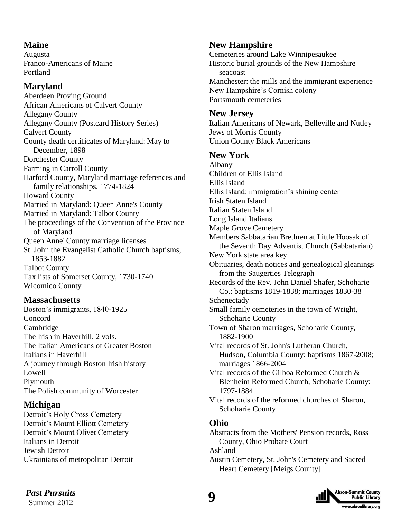### **Maine**

Augusta Franco-Americans of Maine Portland

### **Maryland**

Aberdeen Proving Ground African Americans of Calvert County Allegany County Allegany County (Postcard History Series) Calvert County County death certificates of Maryland: May to December, 1898 Dorchester County Farming in Carroll County Harford County, Maryland marriage references and family relationships, 1774-1824 Howard County Married in Maryland: Queen Anne's County Married in Maryland: Talbot County The proceedings of the Convention of the Province of Maryland Queen Anne' County marriage licenses St. John the Evangelist Catholic Church baptisms, 1853-1882 Talbot County Tax lists of Somerset County, 1730-1740 Wicomico County

### **Massachusetts**

Boston's immigrants, 1840-1925 Concord Cambridge The Irish in Haverhill. 2 vols. The Italian Americans of Greater Boston Italians in Haverhill A journey through Boston Irish history Lowell Plymouth The Polish community of Worcester

### **Michigan**

Detroit's Holy Cross Cemetery Detroit's Mount Elliott Cemetery Detroit's Mount Olivet Cemetery Italians in Detroit Jewish Detroit Ukrainians of metropolitan Detroit

### **New Hampshire**

Cemeteries around Lake Winnipesaukee Historic burial grounds of the New Hampshire seacoast Manchester: the mills and the immigrant experience New Hampshire's Cornish colony Portsmouth cemeteries

### **New Jersey**

Italian Americans of Newark, Belleville and Nutley Jews of Morris County Union County Black Americans

### **New York**

Albany Children of Ellis Island Ellis Island Ellis Island: immigration's shining center Irish Staten Island Italian Staten Island Long Island Italians Maple Grove Cemetery Members Sabbatarian Brethren at Little Hoosak of the Seventh Day Adventist Church (Sabbatarian) New York state area key Obituaries, death notices and genealogical gleanings from the Saugerties Telegraph Records of the Rev. John Daniel Shafer, Schoharie Co.: baptisms 1819-1838; marriages 1830-38 Schenectady Small family cemeteries in the town of Wright, Schoharie County Town of Sharon marriages, Schoharie County, 1882-1900 Vital records of St. John's Lutheran Church, Hudson, Columbia County: baptisms 1867-2008; marriages 1866-2004 Vital records of the Gilboa Reformed Church & Blenheim Reformed Church, Schoharie County: 1797-1884 Vital records of the reformed churches of Sharon, Schoharie County **Ohio** Abstracts from the Mothers' Pension records, Ross County, Ohio Probate Court

Ashland Austin Cemetery, St. John's Cemetery and Sacred Heart Cemetery [Meigs County]



 **9** *Past Pursuits* Summer 2012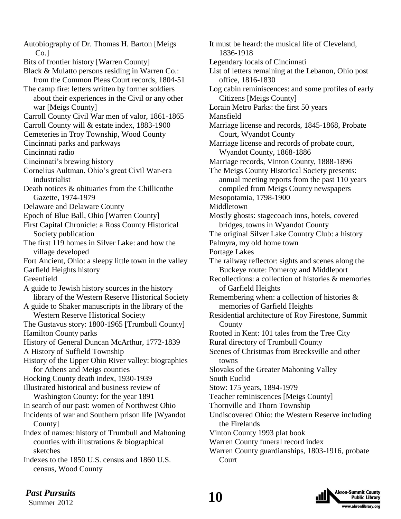Autobiography of Dr. Thomas H. Barton [Meigs Co.] Bits of frontier history [Warren County] Black & Mulatto persons residing in Warren Co.: from the Common Pleas Court records, 1804-51 The camp fire: letters written by former soldiers about their experiences in the Civil or any other war [Meigs County] Carroll County Civil War men of valor, 1861-1865 Carroll County will & estate index, 1883-1900 Cemeteries in Troy Township, Wood County Cincinnati parks and parkways Cincinnati radio Cincinnati's brewing history Cornelius Aultman, Ohio's great Civil War-era industrialist Death notices & obituaries from the Chillicothe Gazette, 1974-1979 Delaware and Delaware County Epoch of Blue Ball, Ohio [Warren County] First Capital Chronicle: a Ross County Historical Society publication The first 119 homes in Silver Lake: and how the village developed Fort Ancient, Ohio: a sleepy little town in the valley Garfield Heights history Greenfield A guide to Jewish history sources in the history library of the Western Reserve Historical Society A guide to Shaker manuscripts in the library of the Western Reserve Historical Society The Gustavus story: 1800-1965 [Trumbull County] Hamilton County parks History of General Duncan McArthur, 1772-1839 A History of Suffield Township History of the Upper Ohio River valley: biographies for Athens and Meigs counties Hocking County death index, 1930-1939 Illustrated historical and business review of Washington County: for the year 1891 In search of our past: women of Northwest Ohio Incidents of war and Southern prison life [Wyandot County] Index of names: history of Trumbull and Mahoning counties with illustrations & biographical sketches Indexes to the 1850 U.S. census and 1860 U.S. census, Wood County

It must be heard: the musical life of Cleveland, 1836-1918 Legendary locals of Cincinnati List of letters remaining at the Lebanon, Ohio post office, 1816-1830 Log cabin reminiscences: and some profiles of early Citizens [Meigs County] Lorain Metro Parks: the first 50 years Mansfield Marriage license and records, 1845-1868, Probate Court, Wyandot County Marriage license and records of probate court, Wyandot County, 1868-1886 Marriage records, Vinton County, 1888-1896 The Meigs County Historical Society presents: annual meeting reports from the past 110 years compiled from Meigs County newspapers Mesopotamia, 1798-1900 Middletown Mostly ghosts: stagecoach inns, hotels, covered bridges, towns in Wyandot County The original Silver Lake Country Club: a history Palmyra, my old home town Portage Lakes The railway reflector: sights and scenes along the Buckeye route: Pomeroy and Middleport Recollections: a collection of histories & memories of Garfield Heights Remembering when: a collection of histories & memories of Garfield Heights Residential architecture of Roy Firestone, Summit County Rooted in Kent: 101 tales from the Tree City Rural directory of Trumbull County Scenes of Christmas from Brecksville and other towns Slovaks of the Greater Mahoning Valley South Euclid Stow: 175 years, 1894-1979 Teacher reminiscences [Meigs County] Thornville and Thorn Township Undiscovered Ohio: the Western Reserve including the Firelands Vinton County 1993 plat book Warren County funeral record index Warren County guardianships, 1803-1916, probate Court

*Past Pursuits* **10** 

Summer 2012

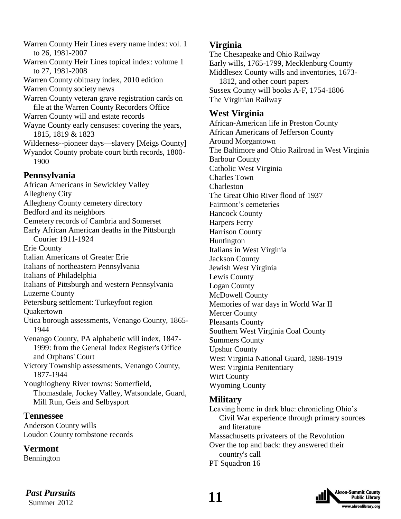Warren County Heir Lines every name index: vol. 1 to 26, 1981-2007 Warren County Heir Lines topical index: volume 1 to 27, 1981-2008 Warren County obituary index, 2010 edition Warren County society news Warren County veteran grave registration cards on file at the Warren County Recorders Office Warren County will and estate records Wayne County early censuses: covering the years, 1815, 1819 & 1823 Wilderness--pioneer days—slavery [Meigs County] Wyandot County probate court birth records, 1800- 1900 **Pennsylvania** African Americans in Sewickley Valley Allegheny City

Allegheny County cemetery directory Bedford and its neighbors Cemetery records of Cambria and Somerset Early African American deaths in the Pittsburgh Courier 1911-1924 Erie County Italian Americans of Greater Erie Italians of northeastern Pennsylvania Italians of Philadelphia Italians of Pittsburgh and western Pennsylvania Luzerne County Petersburg settlement: Turkeyfoot region Quakertown Utica borough assessments, Venango County, 1865- 1944 Venango County, PA alphabetic will index, 1847- 1999: from the General Index Register's Office and Orphans' Court Victory Township assessments, Venango County, 1877-1944 Youghiogheny River towns: Somerfield, Thomasdale, Jockey Valley, Watsondale, Guard, Mill Run, Geis and Selbysport

#### **Tennessee**

Anderson County wills Loudon County tombstone records

### **Vermont**

Bennington

### **Virginia**

The Chesapeake and Ohio Railway Early wills, 1765-1799, Mecklenburg County Middlesex County wills and inventories, 1673- 1812, and other court papers Sussex County will books A-F, 1754-1806 The Virginian Railway

### **West Virginia**

African-American life in Preston County African Americans of Jefferson County Around Morgantown The Baltimore and Ohio Railroad in West Virginia Barbour County Catholic West Virginia Charles Town Charleston The Great Ohio River flood of 1937 Fairmont's cemeteries Hancock County Harpers Ferry Harrison County Huntington Italians in West Virginia Jackson County Jewish West Virginia Lewis County Logan County McDowell County Memories of war days in World War II Mercer County Pleasants County Southern West Virginia Coal County Summers County Upshur County West Virginia National Guard, 1898-1919 West Virginia Penitentiary Wirt County Wyoming County **Military**

Leaving home in dark blue: chronicling Ohio's Civil War experience through primary sources and literature Massachusetts privateers of the Revolution Over the top and back: they answered their country's call PT Squadron 16

 **11** *Past Pursuits* Summer 2012